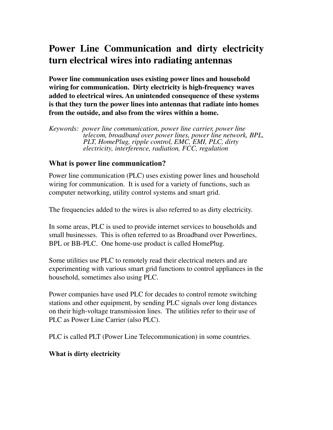# **Power Line Communication and dirty electricity turn electrical wires into radiating antennas**

**Power line communication uses existing power lines and household wiring for communication. Dirty electricity is high-frequency waves added to electrical wires. An unintended consequence of these systems is that they turn the power lines into antennas that radiate into homes from the outside, and also from the wires within a home.**

*Keywords: power line communication, power line carrier, power line telecom, broadband over power lines, power line network, BPL, PLT, HomePlug, ripple control, EMC, EMI, PLC, dirty electricity, interference, radiation, FCC, regulation*

#### **What is power line communication?**

Power line communication (PLC) uses existing power lines and household wiring for communication. It is used for a variety of functions, such as computer networking, utility control systems and smart grid.

The frequencies added to the wires is also referred to as dirty electricity.

In some areas, PLC is used to provide internet services to households and small businesses. This is often referred to as Broadband over Powerlines, BPL or BB-PLC. One home-use product is called HomePlug.

Some utilities use PLC to remotely read their electrical meters and are experimenting with various smart grid functions to control appliances in the household, sometimes also using PLC.

Power companies have used PLC for decades to control remote switching stations and other equipment, by sending PLC signals over long distances on their high-voltage transmission lines. The utilities refer to their use of PLC as Power Line Carrier (also PLC).

PLC is called PLT (Power Line Telecommunication) in some countries.

#### **What is dirty electricity**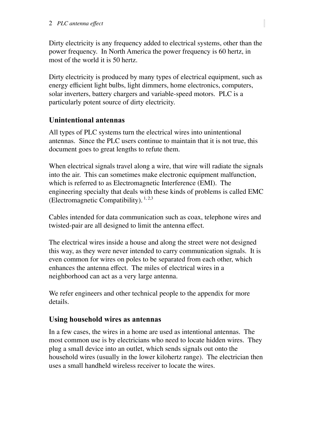Dirty electricity is any frequency added to electrical systems, other than the power frequency. In North America the power frequency is 60 hertz, in most of the world it is 50 hertz.

Dirty electricity is produced by many types of electrical equipment, such as energy efficient light bulbs, light dimmers, home electronics, computers, solar inverters, battery chargers and variable-speed motors. PLC is a particularly potent source of dirty electricity.

# **Unintentional antennas**

All types of PLC systems turn the electrical wires into unintentional antennas. Since the PLC users continue to maintain that it is not true, this document goes to great lengths to refute them.

When electrical signals travel along a wire, that wire will radiate the signals into the air. This can sometimes make electronic equipment malfunction, which is referred to as Electromagnetic Interference (EMI). The engineering specialty that deals with these kinds of problems is called EMC (Electromagnetic Compatibility).  $1, 2,3$ 

Cables intended for data communication such as coax, telephone wires and twisted-pair are all designed to limit the antenna effect.

The electrical wires inside a house and along the street were not designed this way, as they were never intended to carry communication signals. It is even common for wires on poles to be separated from each other, which enhances the antenna effect. The miles of electrical wires in a neighborhood can act as a very large antenna.

We refer engineers and other technical people to the appendix for more details.

# **Using household wires as antennas**

In a few cases, the wires in a home are used as intentional antennas. The most common use is by electricians who need to locate hidden wires. They plug a small device into an outlet, which sends signals out onto the household wires (usually in the lower kilohertz range). The electrician then uses a small handheld wireless receiver to locate the wires.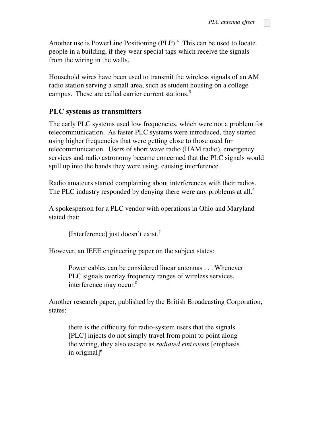Another use is PowerLine Positioning (PLP). <sup>4</sup> This can be used to locate people in a building, if they wear special tags which receive the signals from the wiring in the walls.

Household wires have been used to transmit the wireless signals of an AM radio station serving a small area, such as student housing on a college campus. These are called carrier current stations. 5

### **PLC systems as transmitters**

The early PLC systems used low frequencies, which were not a problem for telecommunication. As faster PLC systems were introduced, they started using higher frequencies that were getting close to those used for telecommunication. Users of short wave radio (HAM radio), emergency services and radio astronomy became concerned that the PLC signals would spill up into the bands they were using, causing interference.

Radio amateurs started complaining about interferences with their radios. The PLC industry responded by denying there were any problems at all.<sup>6</sup>

A spokesperson for a PLC vendor with operations in Ohio and Maryland stated that:

[Interference] just doesn't exist.<sup>7</sup>

However, an IEEE engineering paper on the subject states:

Power cables can be considered linear antennas . . . Whenever PLC signals overlay frequency ranges of wireless services, interference may occur. 8

Another research paper, published by the British Broadcasting Corporation, states:

there is the difficulty for radio-system users that the signals [PLC] injects do not simply travel from point to point along the wiring, they also escape as *radiated emissions* [emphasis in original] 6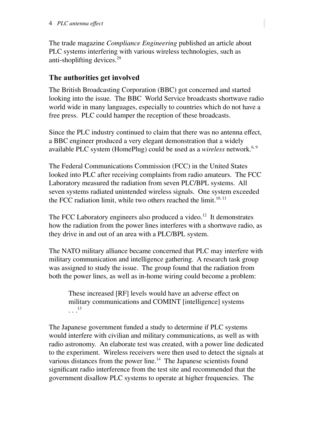The trade magazine *Compliance Engineering* published an article about PLC systems interfering with various wireless technologies, such as anti-shoplifting devices. 29

### **The authorities get involved**

The British Broadcasting Corporation (BBC) got concerned and started looking into the issue. The BBC World Service broadcasts shortwave radio world wide in many languages, especially to countries which do not have a free press. PLC could hamper the reception of these broadcasts.

Since the PLC industry continued to claim that there was no antenna effect, a BBC engineer produced a very elegant demonstration that a widely available PLC system (HomePlug) could be used as a *wireless* network. 6, 9

The Federal Communications Commission (FCC) in the United States looked into PLC after receiving complaints from radio amateurs. The FCC Laboratory measured the radiation from seven PLC/BPL systems. All seven systems radiated unintended wireless signals. One system exceeded the FCC radiation limit, while two others reached the limit.<sup>10, 11</sup>

The FCC Laboratory engineers also produced a video.<sup>12</sup> It demonstrates how the radiation from the power lines interferes with a shortwave radio, as they drive in and out of an area with a PLC/BPL system.

The NATO military alliance became concerned that PLC may interfere with military communication and intelligence gathering. A research task group was assigned to study the issue. The group found that the radiation from both the power lines, as well as in-home wiring could become a problem:

These increased [RF] levels would have an adverse effect on military communications and COMINT [intelligence] systems  $\cdots$ <sup>13</sup>

The Japanese government funded a study to determine if PLC systems would interfere with civilian and military communications, as well as with radio astronomy. An elaborate test was created, with a power line dedicated to the experiment. Wireless receivers were then used to detect the signals at various distances from the power line. <sup>14</sup> The Japanese scientists found significant radio interference from the test site and recommended that the government disallow PLC systems to operate at higher frequencies. The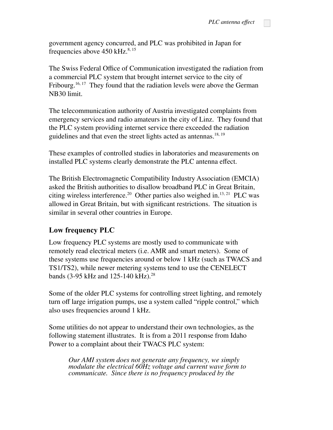government agency concurred, and PLC was prohibited in Japan for frequencies above  $450 \text{ kHz}^{\text{8,15}}$ 

The Swiss Federal Office of Communication investigated the radiation from a commercial PLC system that brought internet service to the city of Fribourg.<sup>16, 17</sup> They found that the radiation levels were above the German NB30 limit.

The telecommunication authority of Austria investigated complaints from emergency services and radio amateurs in the city of Linz. They found that the PLC system providing internet service there exceeded the radiation guidelines and that even the street lights acted as antennas.<sup>18, 19</sup>

These examples of controlled studies in laboratories and measurements on installed PLC systems clearly demonstrate the PLC antenna effect.

The British Electromagnetic Compatibility Industry Association (EMCIA) asked the British authorities to disallow broadband PLC in Great Britain, citing wireless interference. <sup>20</sup> Other parties also weighed in. 13, <sup>21</sup> PLC was allowed in Great Britain, but with significant restrictions. The situation is similar in several other countries in Europe.

#### **Low frequency PLC**

Low frequency PLC systems are mostly used to communicate with remotely read electrical meters (i.e. AMR and smart meters). Some of these systems use frequencies around or below 1 kHz (such as TWACS and TS1/TS2), while newer metering systems tend to use the CENELECT bands (3-95 kHz and  $125-140$  kHz).<sup>28</sup>

Some of the older PLC systems for controlling street lighting, and remotely turn off large irrigation pumps, use a system called "ripple control," which also uses frequencies around 1 kHz.

Some utilities do not appear to understand their own technologies, as the following statement illustrates. It is from a 2011 response from Idaho Power to a complaint about their TWACS PLC system:

*Our AMI system does not generate any frequency, we simply modulate the electrical 60Hz voltage and current wave form to communicate. Since there is no frequency produced by the*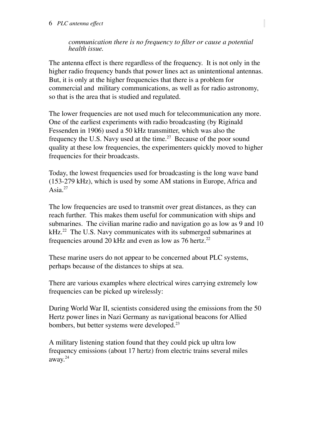*communication there is no frequency to filter or cause a potential health issue.*

The antenna effect is there regardless of the frequency. It is not only in the higher radio frequency bands that power lines act as unintentional antennas. But, it is only at the higher frequencies that there is a problem for commercial and military communications, as well as for radio astronomy, so that is the area that is studied and regulated.

The lower frequencies are not used much for telecommunication any more. One of the earliest experiments with radio broadcasting (by Riginald Fessenden in 1906) used a 50 kHz transmitter, which was also the frequency the U.S. Navy used at the time.<sup>27</sup> Because of the poor sound quality at these low frequencies, the experimenters quickly moved to higher frequencies for their broadcasts.

Today, the lowest frequencies used for broadcasting is the long wave band (153-279 kHz), which is used by some AM stations in Europe, Africa and Asia. $^{27}$ 

The low frequencies are used to transmit over great distances, as they can reach further. This makes them useful for communication with ships and submarines. The civilian marine radio and navigation go as low as 9 and 10  $kHz.^{22}$  The U.S. Navy communicates with its submerged submarines at frequencies around 20 kHz and even as low as 76 hertz. 22

These marine users do not appear to be concerned about PLC systems, perhaps because of the distances to ships at sea.

There are various examples where electrical wires carrying extremely low frequencies can be picked up wirelessly:

During World War II, scientists considered using the emissions from the 50 Hertz power lines in Nazi Germany as navigational beacons for Allied bombers, but better systems were developed. 23

A military listening station found that they could pick up ultra low frequency emissions (about 17 hertz) from electric trains several miles away. 24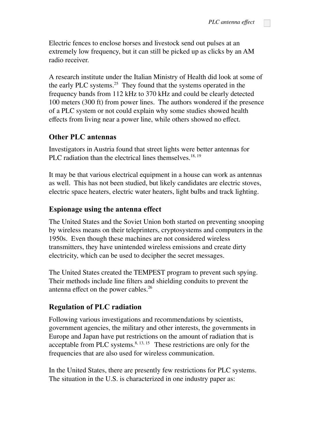Electric fences to enclose horses and livestock send out pulses at an extremely low frequency, but it can still be picked up as clicks by an AM radio receiver.

A research institute under the Italian Ministry of Health did look at some of the early PLC systems. <sup>25</sup> They found that the systems operated in the frequency bands from 112 kHz to 370 kHz and could be clearly detected 100 meters (300 ft) from power lines. The authors wondered if the presence of a PLC system or not could explain why some studies showed health effects from living near a power line, while others showed no effect.

## **Other PLC antennas**

Investigators in Austria found that street lights were better antennas for PLC radiation than the electrical lines themselves.<sup>18, 19</sup>

It may be that various electrical equipment in a house can work as antennas as well. This has not been studied, but likely candidates are electric stoves, electric space heaters, electric water heaters, light bulbs and track lighting.

### **Espionage using the antenna effect**

The United States and the Soviet Union both started on preventing snooping by wireless means on their teleprinters, cryptosystems and computers in the 1950s. Even though these machines are not considered wireless transmitters, they have unintended wireless emissions and create dirty electricity, which can be used to decipher the secret messages.

The United States created the TEMPEST program to prevent such spying. Their methods include line filters and shielding conduits to prevent the antenna effect on the power cables. 26

## **Regulation of PLC radiation**

Following various investigations and recommendations by scientists, government agencies, the military and other interests, the governments in Europe and Japan have put restrictions on the amount of radiation that is acceptable from PLC systems. $8, 13, 15$  These restrictions are only for the frequencies that are also used for wireless communication.

In the United States, there are presently few restrictions for PLC systems. The situation in the U.S. is characterized in one industry paper as: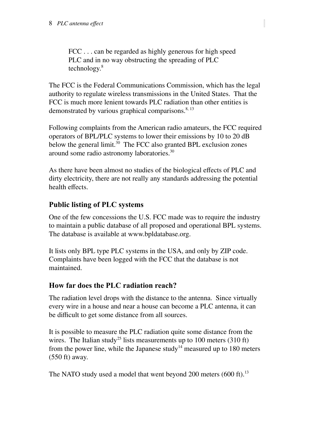FCC . . . can be regarded as highly generous for high speed PLC and in no way obstructing the spreading of PLC technology. 8

The FCC is the Federal Communications Commission, which has the legal authority to regulate wireless transmissions in the United States. That the FCC is much more lenient towards PLC radiation than other entities is demonstrated by various graphical comparisons.<sup>8, 13</sup>

Following complaints from the American radio amateurs, the FCC required operators of BPL/PLC systems to lower their emissions by 10 to 20 dB below the general limit.<sup>30</sup> The FCC also granted BPL exclusion zones around some radio astronomy laboratories. 30

As there have been almost no studies of the biological effects of PLC and dirty electricity, there are not really any standards addressing the potential health effects.

# **Public listing of PLC systems**

One of the few concessions the U.S. FCC made was to require the industry to maintain a public database of all proposed and operational BPL systems. The database is available at www.bpldatabase.org.

It lists only BPL type PLC systems in the USA, and only by ZIP code. Complaints have been logged with the FCC that the database is not maintained.

# **How far does the PLC radiation reach?**

The radiation level drops with the distance to the antenna. Since virtually every wire in a house and near a house can become a PLC antenna, it can be difficult to get some distance from all sources.

It is possible to measure the PLC radiation quite some distance from the wires. The Italian study<sup>25</sup> lists measurements up to 100 meters  $(310 \text{ ft})$ from the power line, while the Japanese study<sup>14</sup> measured up to 180 meters (550 ft) away.

The NATO study used a model that went beyond 200 meters (600 ft).<sup>13</sup>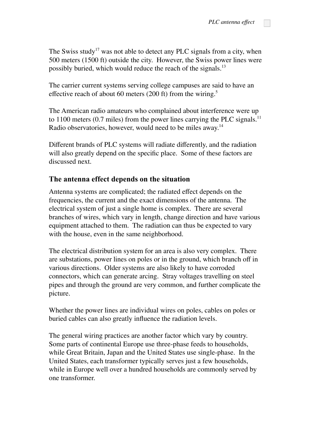The Swiss study<sup>17</sup> was not able to detect any PLC signals from a city, when 500 meters (1500 ft) outside the city. However, the Swiss power lines were possibly buried, which would reduce the reach of the signals.<sup>13</sup>

The carrier current systems serving college campuses are said to have an effective reach of about 60 meters (200 ft) from the wiring.<sup>5</sup>

The American radio amateurs who complained about interference were up to 1100 meters  $(0.7 \text{ miles})$  from the power lines carrying the PLC signals.<sup>11</sup> Radio observatories, however, would need to be miles away.<sup>14</sup>

Different brands of PLC systems will radiate differently, and the radiation will also greatly depend on the specific place. Some of these factors are discussed next.

#### **The antenna effect depends on the situation**

Antenna systems are complicated; the radiated effect depends on the frequencies, the current and the exact dimensions of the antenna. The electrical system of just a single home is complex. There are several branches of wires, which vary in length, change direction and have various equipment attached to them. The radiation can thus be expected to vary with the house, even in the same neighborhood.

The electrical distribution system for an area is also very complex. There are substations, power lines on poles or in the ground, which branch off in various directions. Older systems are also likely to have corroded connectors, which can generate arcing. Stray voltages travelling on steel pipes and through the ground are very common, and further complicate the picture.

Whether the power lines are individual wires on poles, cables on poles or buried cables can also greatly influence the radiation levels.

The general wiring practices are another factor which vary by country. Some parts of continental Europe use three-phase feeds to households, while Great Britain, Japan and the United States use single-phase. In the United States, each transformer typically serves just a few households, while in Europe well over a hundred households are commonly served by one transformer.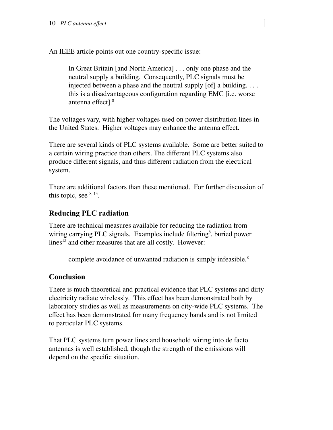An IEEE article points out one country-specific issue:

In Great Britain [and North America] . . . only one phase and the neutral supply a building. Consequently, PLC signals must be injected between a phase and the neutral supply [of] a building. . . . this is a disadvantageous configuration regarding EMC [i.e. worse antenna effect]. 8

The voltages vary, with higher voltages used on power distribution lines in the United States. Higher voltages may enhance the antenna effect.

There are several kinds of PLC systems available. Some are better suited to a certain wiring practice than others. The different PLC systems also produce different signals, and thus different radiation from the electrical system.

There are additional factors than these mentioned. For further discussion of this topic, see  $8, 13$ .

# **Reducing PLC radiation**

There are technical measures available for reducing the radiation from wiring carrying PLC signals. Examples include filtering<sup>8</sup>, buried power lines<sup>13</sup> and other measures that are all costly. However:

complete avoidance of unwanted radiation is simply infeasible. 8

## **Conclusion**

There is much theoretical and practical evidence that PLC systems and dirty electricity radiate wirelessly. This effect has been demonstrated both by laboratory studies as well as measurements on city-wide PLC systems. The effect has been demonstrated for many frequency bands and is not limited to particular PLC systems.

That PLC systems turn power lines and household wiring into de facto antennas is well established, though the strength of the emissions will depend on the specific situation.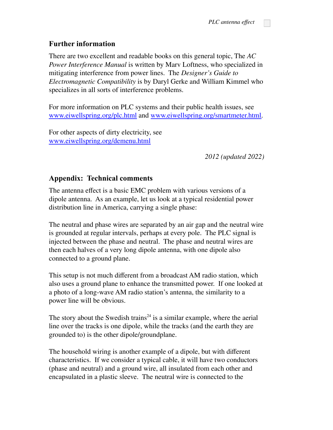## **Further information**

There are two excellent and readable books on this general topic, The *AC Power Interference Manual* is written by Marv Loftness, who specialized in mitigating interference from power lines. The *Designer's Guide to Electromagnetic Compatibility* is by Daryl Gerke and William Kimmel who specializes in all sorts of interference problems.

For more information on PLC systems and their public health issues, see [www.eiwellspring.org/plc.html](http://www.eiwellspring.org/plc.html) and [www.eiwellspring.org/smartmeter.html.](http://www.eiwellspring.org/smartmeter.html)

For other aspects of dirty electricity, see [www.eiwellspring.org/demenu.html](http://www.eiwellspring.org/demenu.html)

*2012 (updated 2022)*

### **Appendix: Technical comments**

The antenna effect is a basic EMC problem with various versions of a dipole antenna. As an example, let us look at a typical residential power distribution line in America, carrying a single phase:

The neutral and phase wires are separated by an air gap and the neutral wire is grounded at regular intervals, perhaps at every pole. The PLC signal is injected between the phase and neutral. The phase and neutral wires are then each halves of a very long dipole antenna, with one dipole also connected to a ground plane.

This setup is not much different from a broadcast AM radio station, which also uses a ground plane to enhance the transmitted power. If one looked at a photo of a long-wave AM radio station's antenna, the similarity to a power line will be obvious.

The story about the Swedish trains<sup> $24$ </sup> is a similar example, where the aerial line over the tracks is one dipole, while the tracks (and the earth they are grounded to) is the other dipole/groundplane.

The household wiring is another example of a dipole, but with different characteristics. If we consider a typical cable, it will have two conductors (phase and neutral) and a ground wire, all insulated from each other and encapsulated in a plastic sleeve. The neutral wire is connected to the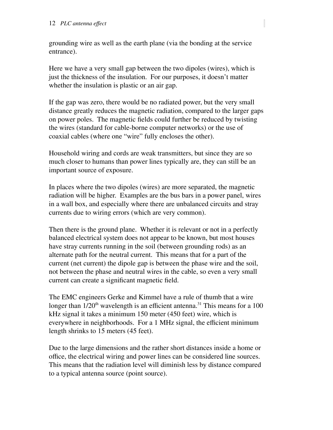grounding wire as well as the earth plane (via the bonding at the service entrance).

Here we have a very small gap between the two dipoles (wires), which is just the thickness of the insulation. For our purposes, it doesn't matter whether the insulation is plastic or an air gap.

If the gap was zero, there would be no radiated power, but the very small distance greatly reduces the magnetic radiation, compared to the larger gaps on power poles. The magnetic fields could further be reduced by twisting the wires (standard for cable-borne computer networks) or the use of coaxial cables (where one "wire" fully encloses the other).

Household wiring and cords are weak transmitters, but since they are so much closer to humans than power lines typically are, they can still be an important source of exposure.

In places where the two dipoles (wires) are more separated, the magnetic radiation will be higher. Examples are the bus bars in a power panel, wires in a wall box, and especially where there are unbalanced circuits and stray currents due to wiring errors (which are very common).

Then there is the ground plane. Whether it is relevant or not in a perfectly balanced electrical system does not appear to be known, but most houses have stray currents running in the soil (between grounding rods) as an alternate path for the neutral current. This means that for a part of the current (net current) the dipole gap is between the phase wire and the soil, not between the phase and neutral wires in the cable, so even a very small current can create a significant magnetic field.

The EMC engineers Gerke and Kimmel have a rule of thumb that a wire longer than  $1/20<sup>th</sup>$  wavelength is an efficient antenna.<sup>31</sup> This means for a 100 kHz signal it takes a minimum 150 meter (450 feet) wire, which is everywhere in neighborhoods. For a 1 MHz signal, the efficient minimum length shrinks to 15 meters (45 feet).

Due to the large dimensions and the rather short distances inside a home or office, the electrical wiring and power lines can be considered line sources. This means that the radiation level will diminish less by distance compared to a typical antenna source (point source).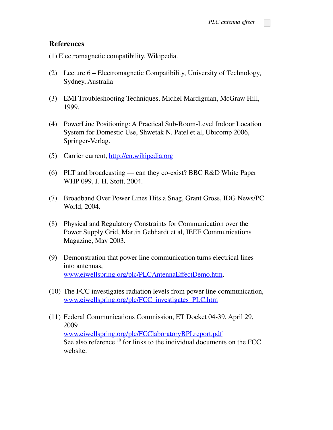#### **References**

(1) Electromagnetic compatibility. Wikipedia.

- (2) Lecture 6 Electromagnetic Compatibility, University of Technology, Sydney, Australia
- (3) EMI Troubleshooting Techniques, Michel Mardiguian, McGraw Hill, 1999.
- (4) PowerLine Positioning: A Practical Sub-Room-Level Indoor Location System for Domestic Use, Shwetak N. Patel et al, Ubicomp 2006, Springer-Verlag.
- (5) Carrier current, [http://en.wikipedia.org](http://en.wikipedia.org/)
- (6) PLT and broadcasting can they co-exist? BBC R&D White Paper WHP 099, J. H. Stott, 2004.
- (7) Broadband Over Power Lines Hits a Snag, Grant Gross, IDG News/PC World, 2004.
- (8) Physical and Regulatory Constraints for Communication over the Power Supply Grid, Martin Gebhardt et al, IEEE Communications Magazine, May 2003.
- (9) Demonstration that power line communication turns electrical lines into antennas, [www.eiwellspring.org/plc/PLCAntennaEffectDemo.htm](http://www.eiwellspring.org/plc/PLCAntennaEffectDemo.htm).
- (10) The FCC investigates radiation levels from power line communication, [www.eiwellspring.org/plc/FCC\\_investigates\\_PLC.htm](http://www.eiwellspring.org/plc/FCC_investigates_PLC.htm)
- (11) Federal Communications Commission, ET Docket 04-39, April 29, 2009 [www.eiwellspring.org/plc/FCClaboratoryBPLreport.pdf](http://www.eiwellspring.org/plc/FCClaboratoryBPLreport.pdf) See also reference <sup>10</sup> for links to the individual documents on the FCC website.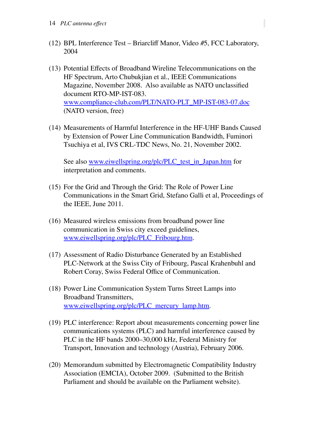(12) BPL Interference Test – Briarcliff Manor, Video #5, FCC Laboratory, 2004

- (13) Potential Effects of Broadband Wireline Telecommunications on the HF Spectrum, Arto Chubukjian et al., IEEE Communications Magazine, November 2008. Also available as NATO unclassified document RTO-MP-IST-083. [www.compliance-club.com/PLT/NATO-PLT\\_MP-IST-083-07.doc](http://www.compliance-club.com/PLT/NATO-PLT_MP-IST-083-07.doc) (NATO version, free)
- (14) Measurements of Harmful Interference in the HF-UHF Bands Caused by Extension of Power Line Communication Bandwidth, Fuminori Tsuchiya et al, IVS CRL-TDC News, No. 21, November 2002.

See also [www.eiwellspring.org/plc/PLC\\_test\\_in\\_Japan.htm](http://www.eiwellspring.org/plc/PLC_test_in_Japan.htm) for interpretation and comments.

- (15) For the Grid and Through the Grid: The Role of Power Line Communications in the Smart Grid, Stefano Galli et al, Proceedings of the IEEE, June 2011.
- (16) Measured wireless emissions from broadband power line communication in Swiss city exceed guidelines, [www.eiwellspring.org/plc/PLC\\_Fribourg.htm](http://www.eiwellspring.org/plc/PLC_Fribourg.htm).
- (17) Assessment of Radio Disturbance Generated by an Established PLC-Network at the Swiss City of Fribourg, Pascal Krahenbuhl and Robert Coray, Swiss Federal Office of Communication.
- (18) Power Line Communication System Turns Street Lamps into Broadband Transmitters, [www.eiwellspring.org/plc/PLC\\_mercury\\_lamp.htm.](http://www.eiwellspring.org/plc/PLC_mercury_lamp.htm)
- (19) PLC interference: Report about measurements concerning power line communications systems (PLC) and harmful interference caused by PLC in the HF bands 2000–30,000 kHz, Federal Ministry for Transport, Innovation and technology (Austria), February 2006.
- (20) Memorandum submitted by Electromagnetic Compatibility Industry Association (EMCIA), October 2009. (Submitted to the British Parliament and should be available on the Parliament website).